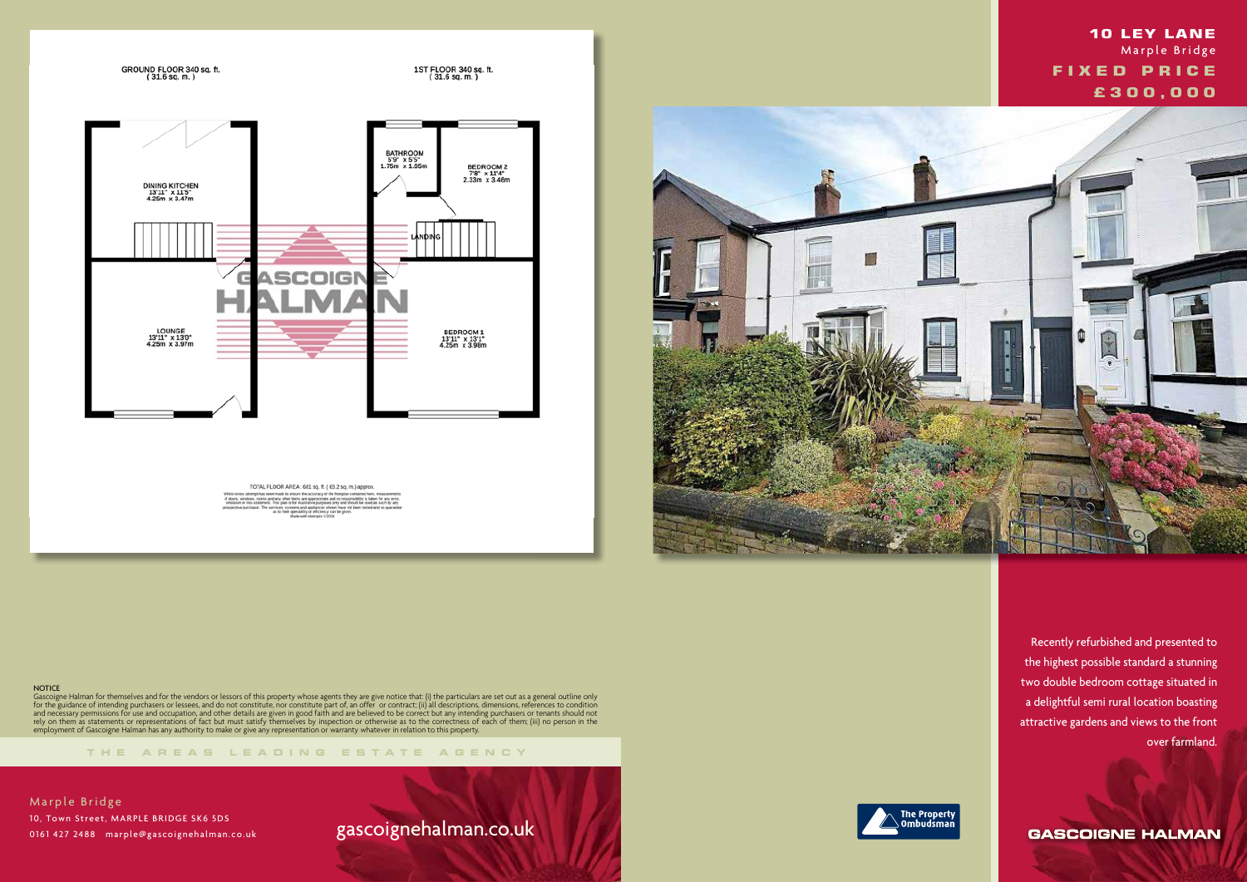

TOTAL FLOOR AREA: 681 sq. ft. ( 63.2 sq. m.) approx.

**NOTICE** 

**THE AREA S LEADING ES T A TE A G E N C Y**

Gascoigne Halman for themselves and for the vendors or lessors of this property whose agents they are give notice that: (i) the particulars are set out as a general outline only for the guidance of intending purchasers or lessees, and do not constitute, nor constitute part of, an offer or contract; (ii) all descriptions, dimensions, references to condition and necessary permissions for use and occupation, and other details are given in good faith and are believed to be correct but any intending purchasers or tenants should not rely on them as statements or representations of fact but must satisfy themselves by inspection or otherwise as to the correctness of each of them; (iii) no person in the employment of Gascoigne Halman has any authority to make or give any representation or warranty whatever in relation to this property.

Marple Bridge 10, Town Street, MARPLE BRIDGE SK6 5DS 0161 427 2488 marple@gascoignehalman.co.uk

## gascoignehalman.co.uk





 Recently refurbished and presented to the highest possible standard a stunning two double bedroom cottage situated in a delightful semi rural location boasting attractive gardens and views to the front over farmland.

**GASCOIGNE HALMAN** 



## **10 LEY LANE**  Marple Bridge  **FIXED PRICE £ 3 0 0 , 0 0 0**